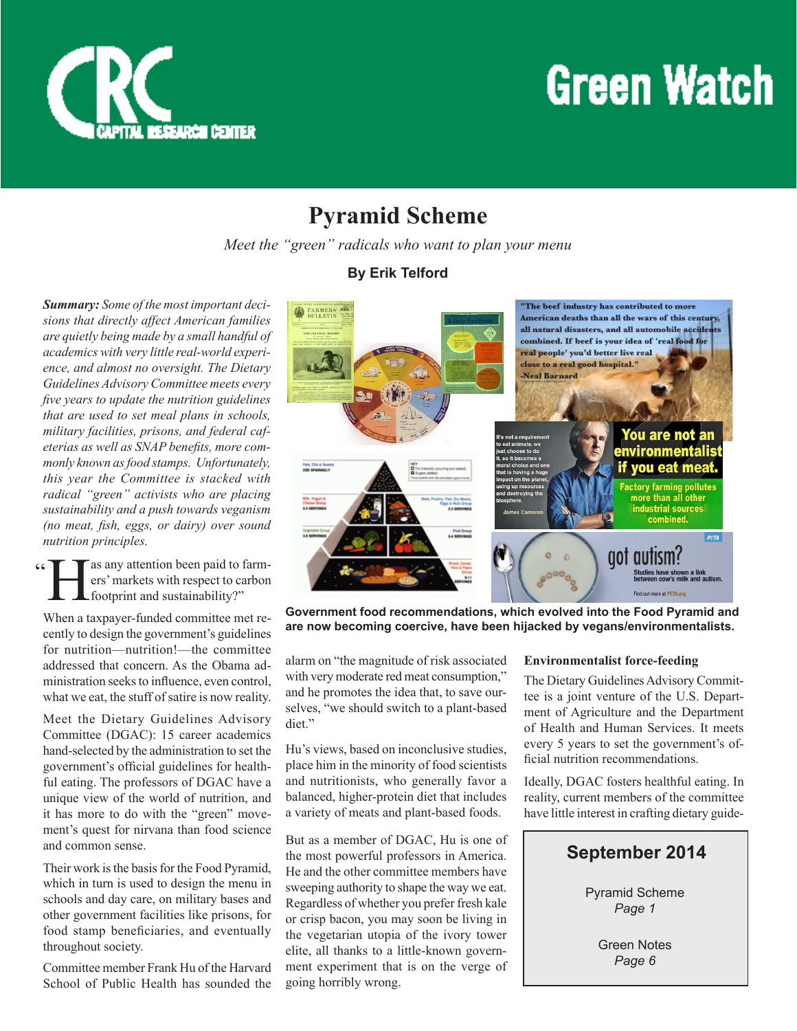

## **Green Watch**

### **Pyramid Scheme**

*Meet the "green" radicals who want to plan your menu*

*Summary: Some of the most important decisions that directly affect American families are quietly being made by a small handful of academics with very little real-world experience, and almost no oversight. The Dietary Guidelines Advisory Committee meets every five years to update the nutrition guidelines that are used to set meal plans in schools, military facilities, prisons, and federal cafeterias as well as SNAP benefits, more commonly known as food stamps. Unfortunately, this year the Committee is stacked with radical "green" activists who are placing sustainability and a push towards veganism (no meat, fish, eggs, or dairy) over sound nutrition principles.*

**H** as any attention been paid to farm-<br>ers' markets with respect to carbon<br>footprint and sustainability?" ers' markets with respect to carbon footprint and sustainability?"  $\sim$ 

When a taxpayer-funded committee met recently to design the government's guidelines for nutrition—nutrition!—the committee addressed that concern. As the Obama administration seeks to influence, even control, what we eat, the stuff of satire is now reality.

Meet the Dietary Guidelines Advisory Committee (DGAC): 15 career academics hand-selected by the administration to set the government's official guidelines for healthful eating. The professors of DGAC have a unique view of the world of nutrition, and it has more to do with the "green" movement's quest for nirvana than food science and common sense.

Their work is the basis for the Food Pyramid, which in turn is used to design the menu in schools and day care, on military bases and other government facilities like prisons, for food stamp beneficiaries, and eventually throughout society.

Committee member Frank Hu of the Harvard School of Public Health has sounded the





**Government food recommendations, which evolved into the Food Pyramid and are now becoming coercive, have been hijacked by vegans/environmentalists.**

alarm on "the magnitude of risk associated with very moderate red meat consumption," and he promotes the idea that, to save ourselves, "we should switch to a plant-based diet."

Hu's views, based on inconclusive studies, place him in the minority of food scientists and nutritionists, who generally favor a balanced, higher-protein diet that includes a variety of meats and plant-based foods.

But as a member of DGAC, Hu is one of the most powerful professors in America. He and the other committee members have sweeping authority to shape the way we eat. Regardless of whether you prefer fresh kale or crisp bacon, you may soon be living in the vegetarian utopia of the ivory tower elite, all thanks to a little-known government experiment that is on the verge of going horribly wrong.

#### **Environmentalist force-feeding**

The Dietary Guidelines Advisory Committee is a joint venture of the U.S. Department of Agriculture and the Department of Health and Human Services. It meets every 5 years to set the government's official nutrition recommendations.

Ideally, DGAC fosters healthful eating. In reality, current members of the committee have little interest in crafting dietary guide-



Green Notes *Page 6*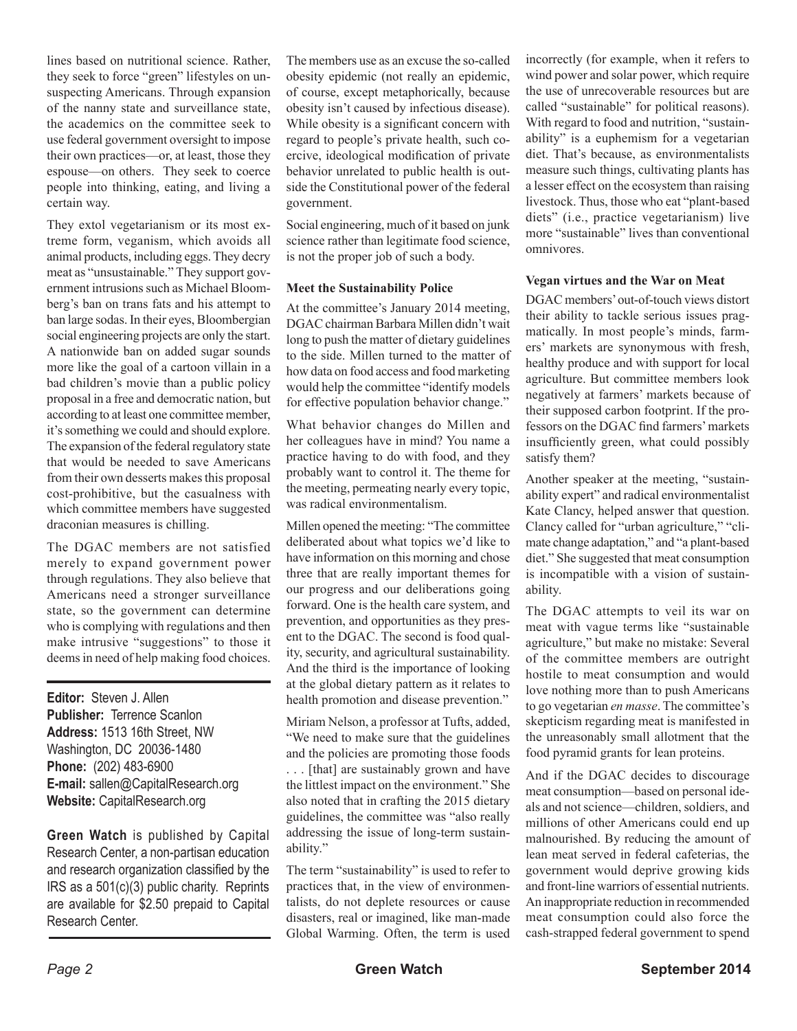lines based on nutritional science. Rather, they seek to force "green" lifestyles on unsuspecting Americans. Through expansion of the nanny state and surveillance state, the academics on the committee seek to use federal government oversight to impose their own practices—or, at least, those they espouse—on others. They seek to coerce people into thinking, eating, and living a certain way.

They extol vegetarianism or its most extreme form, veganism, which avoids all animal products, including eggs. They decry meat as "unsustainable." They support government intrusions such as Michael Bloomberg's ban on trans fats and his attempt to ban large sodas. In their eyes, Bloombergian social engineering projects are only the start. A nationwide ban on added sugar sounds more like the goal of a cartoon villain in a bad children's movie than a public policy proposal in a free and democratic nation, but according to at least one committee member, it's something we could and should explore. The expansion of the federal regulatory state that would be needed to save Americans from their own desserts makes this proposal cost-prohibitive, but the casualness with which committee members have suggested draconian measures is chilling.

The DGAC members are not satisfied merely to expand government power through regulations. They also believe that Americans need a stronger surveillance state, so the government can determine who is complying with regulations and then make intrusive "suggestions" to those it deems in need of help making food choices.

**Editor:** Steven J. Allen **Publisher:** Terrence Scanlon **Address:** 1513 16th Street, NW Washington, DC 20036-1480 **Phone:** (202) 483-6900 **E-mail:** sallen@CapitalResearch.org **Website:** CapitalResearch.org

**Green Watch** is published by Capital Research Center, a non-partisan education and research organization classified by the IRS as a 501(c)(3) public charity. Reprints are available for \$2.50 prepaid to Capital Research Center.

The members use as an excuse the so-called obesity epidemic (not really an epidemic, of course, except metaphorically, because obesity isn't caused by infectious disease). While obesity is a significant concern with regard to people's private health, such coercive, ideological modification of private behavior unrelated to public health is outside the Constitutional power of the federal government.

Social engineering, much of it based on junk science rather than legitimate food science, is not the proper job of such a body.

#### **Meet the Sustainability Police**

At the committee's January 2014 meeting, DGAC chairman Barbara Millen didn't wait long to push the matter of dietary guidelines to the side. Millen turned to the matter of how data on food access and food marketing would help the committee "identify models for effective population behavior change."

What behavior changes do Millen and her colleagues have in mind? You name a practice having to do with food, and they probably want to control it. The theme for the meeting, permeating nearly every topic, was radical environmentalism.

Millen opened the meeting: "The committee deliberated about what topics we'd like to have information on this morning and chose three that are really important themes for our progress and our deliberations going forward. One is the health care system, and prevention, and opportunities as they present to the DGAC. The second is food quality, security, and agricultural sustainability. And the third is the importance of looking at the global dietary pattern as it relates to health promotion and disease prevention."

Miriam Nelson, a professor at Tufts, added, "We need to make sure that the guidelines and the policies are promoting those foods . . . [that] are sustainably grown and have the littlest impact on the environment." She also noted that in crafting the 2015 dietary guidelines, the committee was "also really addressing the issue of long-term sustainability."

The term "sustainability" is used to refer to practices that, in the view of environmentalists, do not deplete resources or cause disasters, real or imagined, like man-made Global Warming. Often, the term is used

incorrectly (for example, when it refers to wind power and solar power, which require the use of unrecoverable resources but are called "sustainable" for political reasons). With regard to food and nutrition, "sustainability" is a euphemism for a vegetarian diet. That's because, as environmentalists measure such things, cultivating plants has a lesser effect on the ecosystem than raising livestock. Thus, those who eat "plant-based diets" (i.e., practice vegetarianism) live more "sustainable" lives than conventional omnivores.

#### **Vegan virtues and the War on Meat**

DGAC members' out-of-touch views distort their ability to tackle serious issues pragmatically. In most people's minds, farmers' markets are synonymous with fresh, healthy produce and with support for local agriculture. But committee members look negatively at farmers' markets because of their supposed carbon footprint. If the professors on the DGAC find farmers' markets insufficiently green, what could possibly satisfy them?

Another speaker at the meeting, "sustainability expert" and radical environmentalist Kate Clancy, helped answer that question. Clancy called for "urban agriculture," "climate change adaptation," and "a plant-based diet." She suggested that meat consumption is incompatible with a vision of sustainability.

The DGAC attempts to veil its war on meat with vague terms like "sustainable agriculture," but make no mistake: Several of the committee members are outright hostile to meat consumption and would love nothing more than to push Americans to go vegetarian *en masse*. The committee's skepticism regarding meat is manifested in the unreasonably small allotment that the food pyramid grants for lean proteins.

And if the DGAC decides to discourage meat consumption—based on personal ideals and not science—children, soldiers, and millions of other Americans could end up malnourished. By reducing the amount of lean meat served in federal cafeterias, the government would deprive growing kids and front-line warriors of essential nutrients. An inappropriate reduction in recommended meat consumption could also force the cash-strapped federal government to spend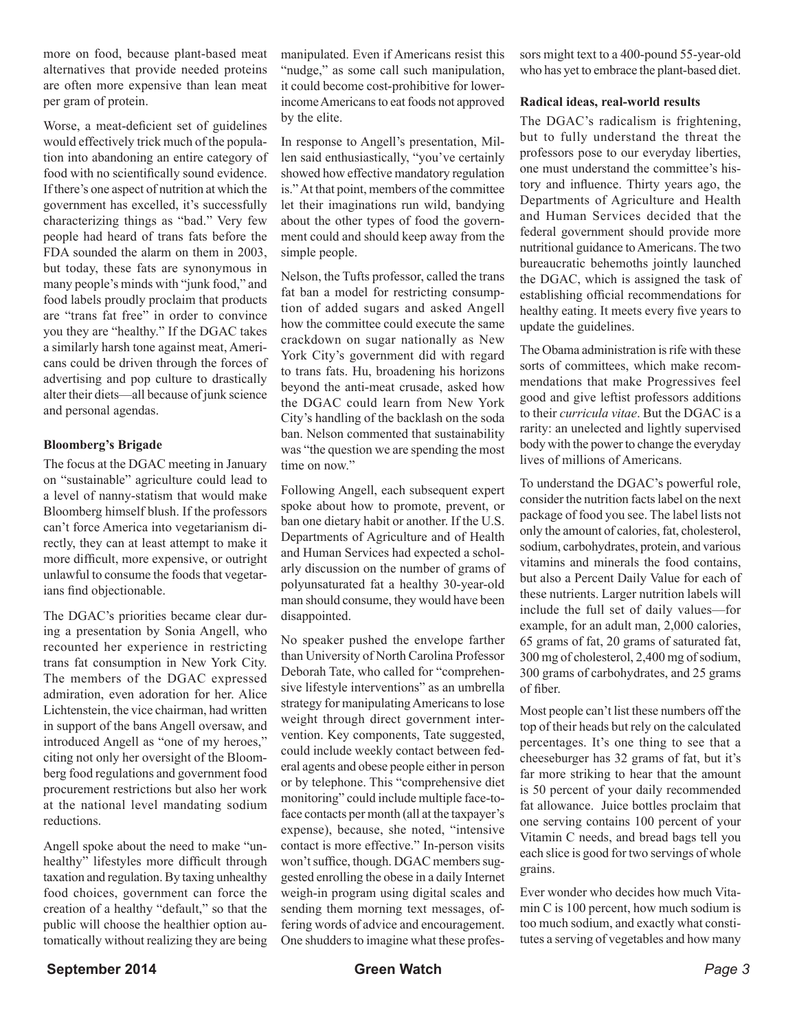more on food, because plant-based meat alternatives that provide needed proteins are often more expensive than lean meat per gram of protein.

Worse, a meat-deficient set of guidelines would effectively trick much of the population into abandoning an entire category of food with no scientifically sound evidence. If there's one aspect of nutrition at which the government has excelled, it's successfully characterizing things as "bad." Very few people had heard of trans fats before the FDA sounded the alarm on them in 2003, but today, these fats are synonymous in many people's minds with "junk food," and food labels proudly proclaim that products are "trans fat free" in order to convince you they are "healthy." If the DGAC takes a similarly harsh tone against meat, Americans could be driven through the forces of advertising and pop culture to drastically alter their diets—all because of junk science and personal agendas.

#### **Bloomberg's Brigade**

The focus at the DGAC meeting in January on "sustainable" agriculture could lead to a level of nanny-statism that would make Bloomberg himself blush. If the professors can't force America into vegetarianism directly, they can at least attempt to make it more difficult, more expensive, or outright unlawful to consume the foods that vegetarians find objectionable.

The DGAC's priorities became clear during a presentation by Sonia Angell, who recounted her experience in restricting trans fat consumption in New York City. The members of the DGAC expressed admiration, even adoration for her. Alice Lichtenstein, the vice chairman, had written in support of the bans Angell oversaw, and introduced Angell as "one of my heroes," citing not only her oversight of the Bloomberg food regulations and government food procurement restrictions but also her work at the national level mandating sodium reductions.

Angell spoke about the need to make "unhealthy" lifestyles more difficult through taxation and regulation. By taxing unhealthy food choices, government can force the creation of a healthy "default," so that the public will choose the healthier option automatically without realizing they are being manipulated. Even if Americans resist this "nudge," as some call such manipulation, it could become cost-prohibitive for lowerincome Americans to eat foods not approved by the elite.

In response to Angell's presentation, Millen said enthusiastically, "you've certainly showed how effective mandatory regulation is." At that point, members of the committee let their imaginations run wild, bandying about the other types of food the government could and should keep away from the simple people.

Nelson, the Tufts professor, called the trans fat ban a model for restricting consumption of added sugars and asked Angell how the committee could execute the same crackdown on sugar nationally as New York City's government did with regard to trans fats. Hu, broadening his horizons beyond the anti-meat crusade, asked how the DGAC could learn from New York City's handling of the backlash on the soda ban. Nelson commented that sustainability was "the question we are spending the most time on now."

Following Angell, each subsequent expert spoke about how to promote, prevent, or ban one dietary habit or another. If the U.S. Departments of Agriculture and of Health and Human Services had expected a scholarly discussion on the number of grams of polyunsaturated fat a healthy 30-year-old man should consume, they would have been disappointed.

No speaker pushed the envelope farther than University of North Carolina Professor Deborah Tate, who called for "comprehensive lifestyle interventions" as an umbrella strategy for manipulating Americans to lose weight through direct government intervention. Key components, Tate suggested, could include weekly contact between federal agents and obese people either in person or by telephone. This "comprehensive diet monitoring" could include multiple face-toface contacts per month (all at the taxpayer's expense), because, she noted, "intensive contact is more effective." In-person visits won't suffice, though. DGAC members suggested enrolling the obese in a daily Internet weigh-in program using digital scales and sending them morning text messages, offering words of advice and encouragement. One shudders to imagine what these professors might text to a 400-pound 55-year-old who has yet to embrace the plant-based diet.

#### **Radical ideas, real-world results**

The DGAC's radicalism is frightening, but to fully understand the threat the professors pose to our everyday liberties, one must understand the committee's history and influence. Thirty years ago, the Departments of Agriculture and Health and Human Services decided that the federal government should provide more nutritional guidance to Americans. The two bureaucratic behemoths jointly launched the DGAC, which is assigned the task of establishing official recommendations for healthy eating. It meets every five years to update the guidelines.

The Obama administration is rife with these sorts of committees, which make recommendations that make Progressives feel good and give leftist professors additions to their *curricula vitae*. But the DGAC is a rarity: an unelected and lightly supervised body with the power to change the everyday lives of millions of Americans.

To understand the DGAC's powerful role, consider the nutrition facts label on the next package of food you see. The label lists not only the amount of calories, fat, cholesterol, sodium, carbohydrates, protein, and various vitamins and minerals the food contains, but also a Percent Daily Value for each of these nutrients. Larger nutrition labels will include the full set of daily values—for example, for an adult man, 2,000 calories, 65 grams of fat, 20 grams of saturated fat, 300 mg of cholesterol, 2,400 mg of sodium, 300 grams of carbohydrates, and 25 grams of fiber.

Most people can't list these numbers off the top of their heads but rely on the calculated percentages. It's one thing to see that a cheeseburger has 32 grams of fat, but it's far more striking to hear that the amount is 50 percent of your daily recommended fat allowance. Juice bottles proclaim that one serving contains 100 percent of your Vitamin C needs, and bread bags tell you each slice is good for two servings of whole grains.

Ever wonder who decides how much Vitamin C is 100 percent, how much sodium is too much sodium, and exactly what constitutes a serving of vegetables and how many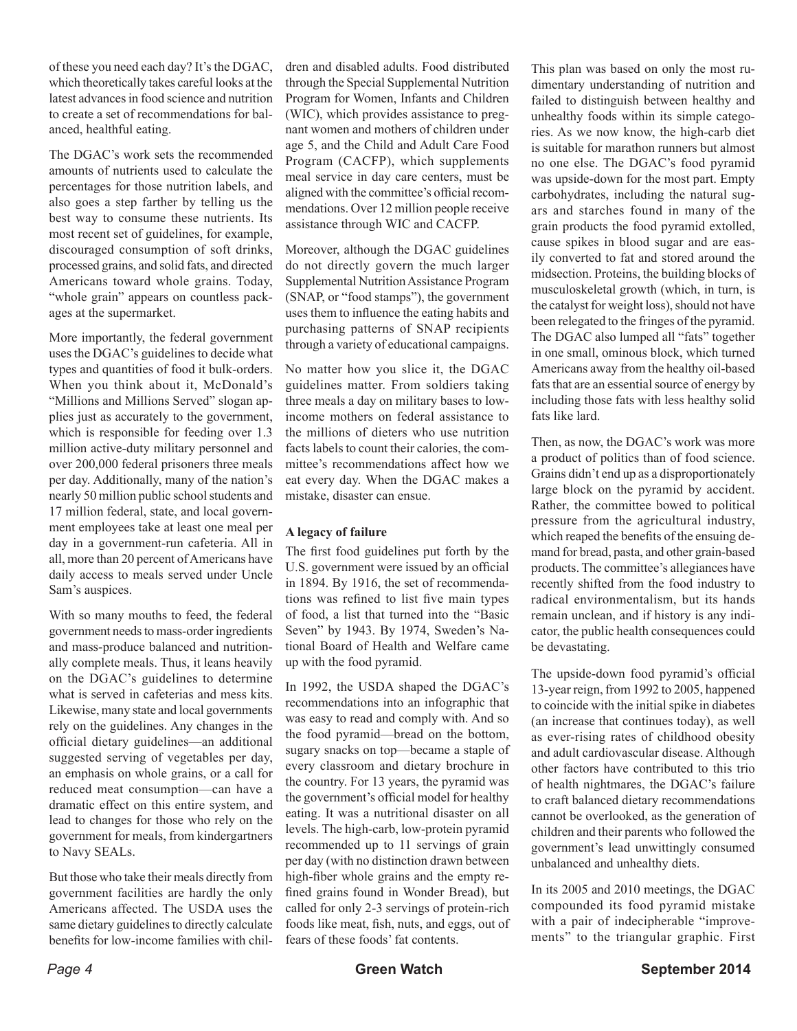of these you need each day? It's the DGAC, which theoretically takes careful looks at the latest advances in food science and nutrition to create a set of recommendations for balanced, healthful eating.

The DGAC's work sets the recommended amounts of nutrients used to calculate the percentages for those nutrition labels, and also goes a step farther by telling us the best way to consume these nutrients. Its most recent set of guidelines, for example, discouraged consumption of soft drinks, processed grains, and solid fats, and directed Americans toward whole grains. Today, "whole grain" appears on countless packages at the supermarket.

More importantly, the federal government uses the DGAC's guidelines to decide what types and quantities of food it bulk-orders. When you think about it, McDonald's "Millions and Millions Served" slogan applies just as accurately to the government, which is responsible for feeding over 1.3 million active-duty military personnel and over 200,000 federal prisoners three meals per day. Additionally, many of the nation's nearly 50 million public school students and 17 million federal, state, and local government employees take at least one meal per day in a government-run cafeteria. All in all, more than 20 percent of Americans have daily access to meals served under Uncle Sam's auspices.

With so many mouths to feed, the federal government needs to mass-order ingredients and mass-produce balanced and nutritionally complete meals. Thus, it leans heavily on the DGAC's guidelines to determine what is served in cafeterias and mess kits. Likewise, many state and local governments rely on the guidelines. Any changes in the official dietary guidelines—an additional suggested serving of vegetables per day, an emphasis on whole grains, or a call for reduced meat consumption—can have a dramatic effect on this entire system, and lead to changes for those who rely on the government for meals, from kindergartners to Navy SEALs.

But those who take their meals directly from government facilities are hardly the only Americans affected. The USDA uses the same dietary guidelines to directly calculate benefits for low-income families with chil-

dren and disabled adults. Food distributed through the Special Supplemental Nutrition Program for Women, Infants and Children (WIC), which provides assistance to pregnant women and mothers of children under age 5, and the Child and Adult Care Food Program (CACFP), which supplements meal service in day care centers, must be aligned with the committee's official recommendations. Over 12 million people receive assistance through WIC and CACFP.

Moreover, although the DGAC guidelines do not directly govern the much larger Supplemental Nutrition Assistance Program (SNAP, or "food stamps"), the government uses them to influence the eating habits and purchasing patterns of SNAP recipients through a variety of educational campaigns.

No matter how you slice it, the DGAC guidelines matter. From soldiers taking three meals a day on military bases to lowincome mothers on federal assistance to the millions of dieters who use nutrition facts labels to count their calories, the committee's recommendations affect how we eat every day. When the DGAC makes a mistake, disaster can ensue.

#### **A legacy of failure**

The first food guidelines put forth by the U.S. government were issued by an official in 1894. By 1916, the set of recommendations was refined to list five main types of food, a list that turned into the "Basic Seven" by 1943. By 1974, Sweden's National Board of Health and Welfare came up with the food pyramid.

In 1992, the USDA shaped the DGAC's recommendations into an infographic that was easy to read and comply with. And so the food pyramid—bread on the bottom, sugary snacks on top—became a staple of every classroom and dietary brochure in the country. For 13 years, the pyramid was the government's official model for healthy eating. It was a nutritional disaster on all levels. The high-carb, low-protein pyramid recommended up to 11 servings of grain per day (with no distinction drawn between high-fiber whole grains and the empty refined grains found in Wonder Bread), but called for only 2-3 servings of protein-rich foods like meat, fish, nuts, and eggs, out of fears of these foods' fat contents.

This plan was based on only the most rudimentary understanding of nutrition and failed to distinguish between healthy and unhealthy foods within its simple categories. As we now know, the high-carb diet is suitable for marathon runners but almost no one else. The DGAC's food pyramid was upside-down for the most part. Empty carbohydrates, including the natural sugars and starches found in many of the grain products the food pyramid extolled, cause spikes in blood sugar and are easily converted to fat and stored around the midsection. Proteins, the building blocks of musculoskeletal growth (which, in turn, is the catalyst for weight loss), should not have been relegated to the fringes of the pyramid. The DGAC also lumped all "fats" together in one small, ominous block, which turned Americans away from the healthy oil-based fats that are an essential source of energy by including those fats with less healthy solid fats like lard.

Then, as now, the DGAC's work was more a product of politics than of food science. Grains didn't end up as a disproportionately large block on the pyramid by accident. Rather, the committee bowed to political pressure from the agricultural industry, which reaped the benefits of the ensuing demand for bread, pasta, and other grain-based products. The committee's allegiances have recently shifted from the food industry to radical environmentalism, but its hands remain unclean, and if history is any indicator, the public health consequences could be devastating.

The upside-down food pyramid's official 13-year reign, from 1992 to 2005, happened to coincide with the initial spike in diabetes (an increase that continues today), as well as ever-rising rates of childhood obesity and adult cardiovascular disease. Although other factors have contributed to this trio of health nightmares, the DGAC's failure to craft balanced dietary recommendations cannot be overlooked, as the generation of children and their parents who followed the government's lead unwittingly consumed unbalanced and unhealthy diets.

In its 2005 and 2010 meetings, the DGAC compounded its food pyramid mistake with a pair of indecipherable "improvements" to the triangular graphic. First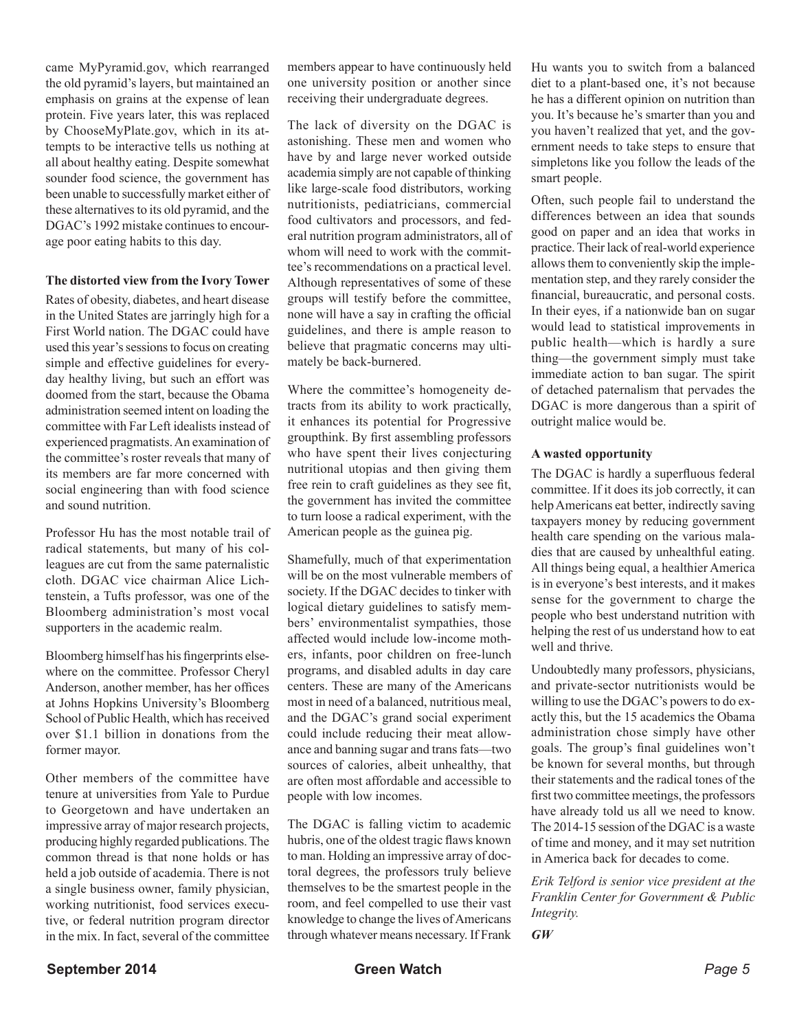came MyPyramid.gov, which rearranged the old pyramid's layers, but maintained an emphasis on grains at the expense of lean protein. Five years later, this was replaced by ChooseMyPlate.gov, which in its attempts to be interactive tells us nothing at all about healthy eating. Despite somewhat sounder food science, the government has been unable to successfully market either of these alternatives to its old pyramid, and the DGAC's 1992 mistake continues to encourage poor eating habits to this day.

#### **The distorted view from the Ivory Tower**

Rates of obesity, diabetes, and heart disease in the United States are jarringly high for a First World nation. The DGAC could have used this year's sessions to focus on creating simple and effective guidelines for everyday healthy living, but such an effort was doomed from the start, because the Obama administration seemed intent on loading the committee with Far Left idealists instead of experienced pragmatists. An examination of the committee's roster reveals that many of its members are far more concerned with social engineering than with food science and sound nutrition.

Professor Hu has the most notable trail of radical statements, but many of his colleagues are cut from the same paternalistic cloth. DGAC vice chairman Alice Lichtenstein, a Tufts professor, was one of the Bloomberg administration's most vocal supporters in the academic realm.

Bloomberg himself has his fingerprints elsewhere on the committee. Professor Cheryl Anderson, another member, has her offices at Johns Hopkins University's Bloomberg School of Public Health, which has received over \$1.1 billion in donations from the former mayor.

Other members of the committee have tenure at universities from Yale to Purdue to Georgetown and have undertaken an impressive array of major research projects, producing highly regarded publications. The common thread is that none holds or has held a job outside of academia. There is not a single business owner, family physician, working nutritionist, food services executive, or federal nutrition program director in the mix. In fact, several of the committee

members appear to have continuously held one university position or another since receiving their undergraduate degrees.

The lack of diversity on the DGAC is astonishing. These men and women who have by and large never worked outside academia simply are not capable of thinking like large-scale food distributors, working nutritionists, pediatricians, commercial food cultivators and processors, and federal nutrition program administrators, all of whom will need to work with the committee's recommendations on a practical level. Although representatives of some of these groups will testify before the committee, none will have a say in crafting the official guidelines, and there is ample reason to believe that pragmatic concerns may ultimately be back-burnered.

Where the committee's homogeneity detracts from its ability to work practically, it enhances its potential for Progressive groupthink. By first assembling professors who have spent their lives conjecturing nutritional utopias and then giving them free rein to craft guidelines as they see fit, the government has invited the committee to turn loose a radical experiment, with the American people as the guinea pig.

Shamefully, much of that experimentation will be on the most vulnerable members of society. If the DGAC decides to tinker with logical dietary guidelines to satisfy members' environmentalist sympathies, those affected would include low-income mothers, infants, poor children on free-lunch programs, and disabled adults in day care centers. These are many of the Americans most in need of a balanced, nutritious meal, and the DGAC's grand social experiment could include reducing their meat allowance and banning sugar and trans fats—two sources of calories, albeit unhealthy, that are often most affordable and accessible to people with low incomes.

The DGAC is falling victim to academic hubris, one of the oldest tragic flaws known to man. Holding an impressive array of doctoral degrees, the professors truly believe themselves to be the smartest people in the room, and feel compelled to use their vast knowledge to change the lives of Americans through whatever means necessary. If Frank

Hu wants you to switch from a balanced diet to a plant-based one, it's not because he has a different opinion on nutrition than you. It's because he's smarter than you and you haven't realized that yet, and the government needs to take steps to ensure that simpletons like you follow the leads of the smart people.

Often, such people fail to understand the differences between an idea that sounds good on paper and an idea that works in practice. Their lack of real-world experience allows them to conveniently skip the implementation step, and they rarely consider the financial, bureaucratic, and personal costs. In their eyes, if a nationwide ban on sugar would lead to statistical improvements in public health—which is hardly a sure thing—the government simply must take immediate action to ban sugar. The spirit of detached paternalism that pervades the DGAC is more dangerous than a spirit of outright malice would be.

#### **A wasted opportunity**

The DGAC is hardly a superfluous federal committee. If it does its job correctly, it can help Americans eat better, indirectly saving taxpayers money by reducing government health care spending on the various maladies that are caused by unhealthful eating. All things being equal, a healthier America is in everyone's best interests, and it makes sense for the government to charge the people who best understand nutrition with helping the rest of us understand how to eat well and thrive.

Undoubtedly many professors, physicians, and private-sector nutritionists would be willing to use the DGAC's powers to do exactly this, but the 15 academics the Obama administration chose simply have other goals. The group's final guidelines won't be known for several months, but through their statements and the radical tones of the first two committee meetings, the professors have already told us all we need to know. The 2014-15 session of the DGAC is a waste of time and money, and it may set nutrition in America back for decades to come.

*Erik Telford is senior vice president at the Franklin Center for Government & Public Integrity.*